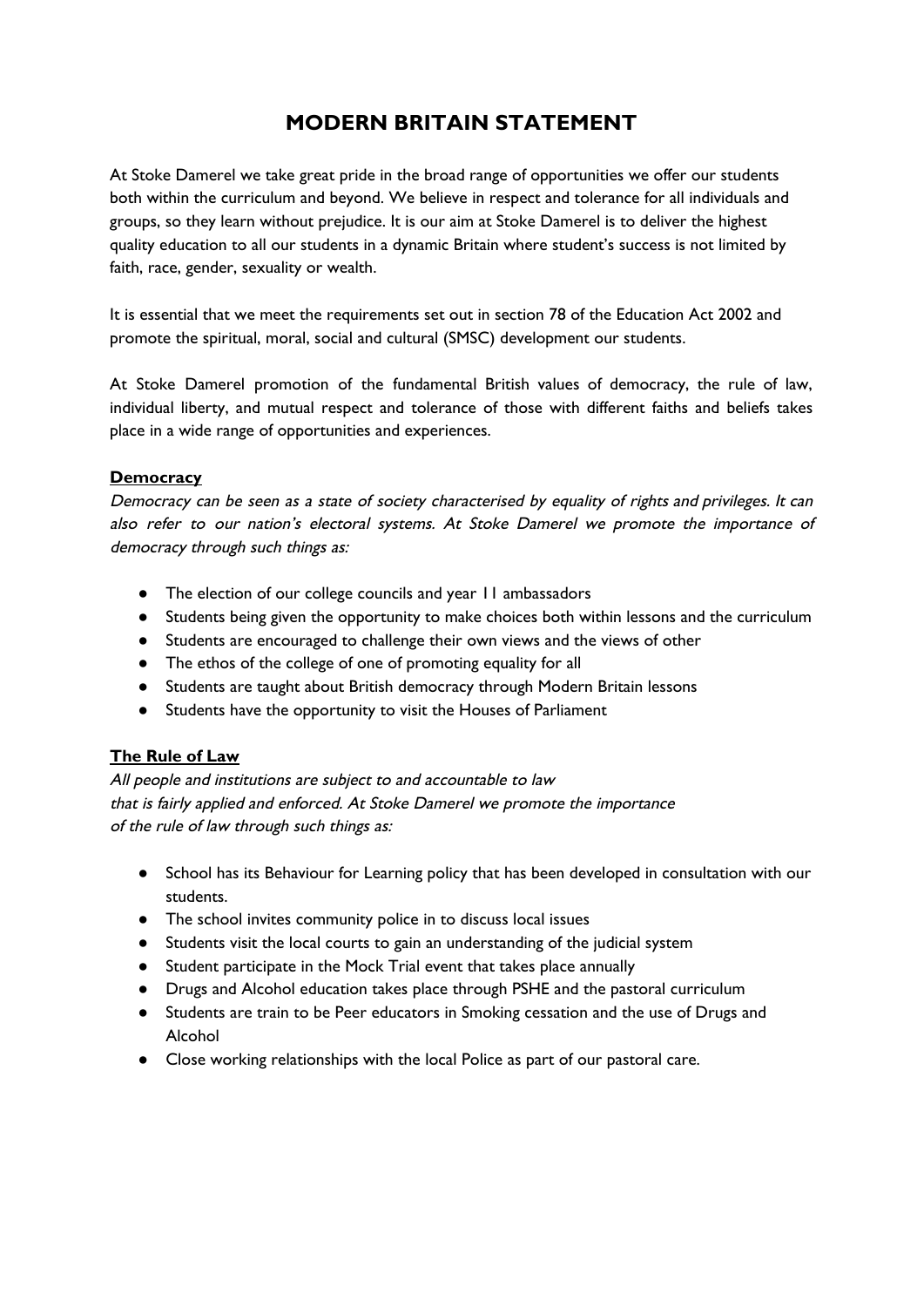# **MODERN BRITAIN STATEMENT**

At Stoke Damerel we take great pride in the broad range of opportunities we offer our students both within the curriculum and beyond. We believe in respect and tolerance for all individuals and groups, so they learn without prejudice. It is our aim at Stoke Damerel is to deliver the highest quality education to all our students in a dynamic Britain where student's success is not limited by faith, race, gender, sexuality or wealth.

It is essential that we meet the requirements set out in section 78 of the Education Act 2002 and promote the spiritual, moral, social and cultural (SMSC) development our students.

At Stoke Damerel promotion of the fundamental British values of democracy, the rule of law, individual liberty, and mutual respect and tolerance of those with different faiths and beliefs takes place in a wide range of opportunities and experiences.

#### **Democracy**

Democracy can be seen as <sup>a</sup> state of society characterised by equality of rights and privileges. It can also refer to our nation's electoral systems. At Stoke Damerel we promote the importance of democracy through such things as:

- The election of our college councils and year 11 ambassadors
- Students being given the opportunity to make choices both within lessons and the curriculum
- Students are encouraged to challenge their own views and the views of other
- The ethos of the college of one of promoting equality for all
- Students are taught about British democracy through Modern Britain lessons
- Students have the opportunity to visit the Houses of Parliament

## **The Rule of Law**

All people and institutions are subject to and accountable to law that is fairly applied and enforced. At Stoke Damerel we promote the importance of the rule of law through such things as:

- School has its Behaviour for Learning policy that has been developed in consultation with our students.
- The school invites community police in to discuss local issues
- Students visit the local courts to gain an understanding of the judicial system
- Student participate in the Mock Trial event that takes place annually
- Drugs and Alcohol education takes place through PSHE and the pastoral curriculum
- Students are train to be Peer educators in Smoking cessation and the use of Drugs and Alcohol
- Close working relationships with the local Police as part of our pastoral care.